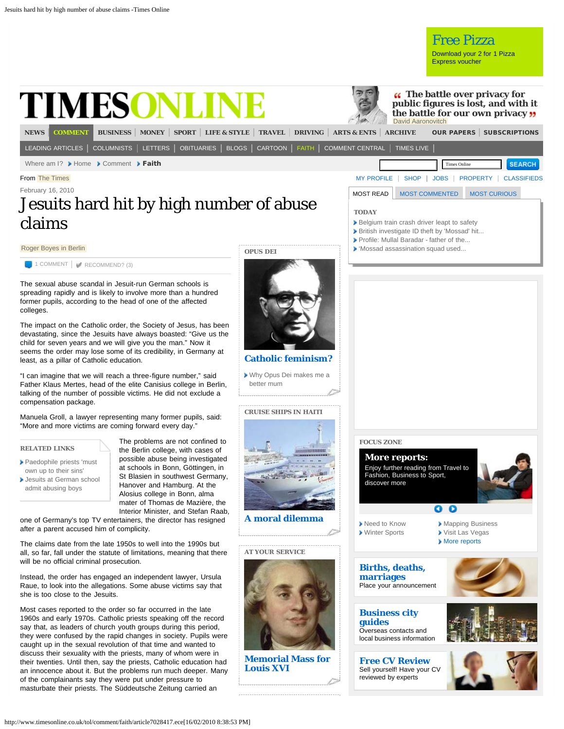<span id="page-0-0"></span>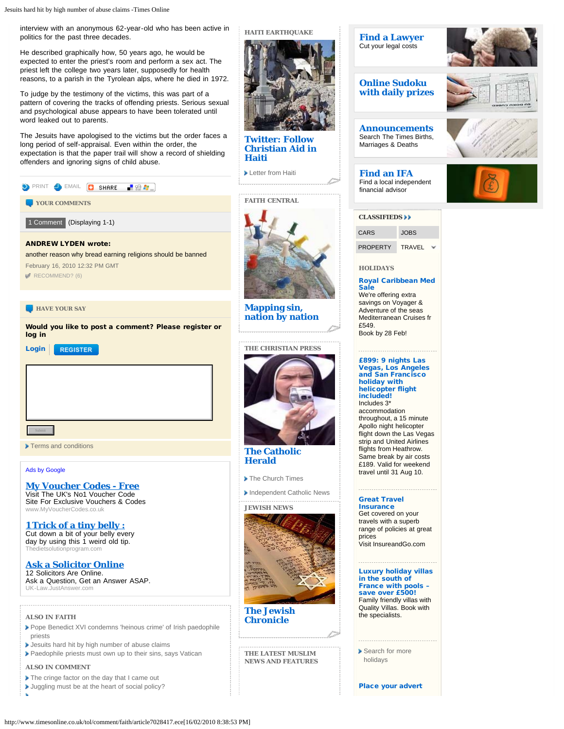interview with an anonymous 62-year-old who has been active in politics for the past three decades.

He described graphically how, 50 years ago, he would be expected to enter the priest's room and perform a sex act. The priest left the college two years later, supposedly for health reasons, to a parish in the Tyrolean alps, where he died in 1972.

To judge by the testimony of the victims, this was part of a pattern of covering the tracks of offending priests. Serious sexual and psychological abuse appears to have been tolerated until word leaked out to parents.

The Jesuits have apologised to the victims but the order faces a long period of self-appraisal. Even within the order, the expectation is that the paper trail will show a record of shielding offenders and ignoring signs of child abuse.

<span id="page-1-0"></span>

| PRINT SHARE RELEA                                                                                                                             |
|-----------------------------------------------------------------------------------------------------------------------------------------------|
| YOUR COMMENTS                                                                                                                                 |
| 1 Comment (Displaying 1-1)                                                                                                                    |
| <b>ANDREW LYDEN wrote:</b><br>another reason why bread earning religions should be banned<br>February 16, 2010 12:32 PM GMT<br>RECOMMEND? (6) |
| <b>HAVE YOUR SAY</b>                                                                                                                          |
| Would you like to post a comment? Please register or<br>log in<br>Login<br><b>REGISTER</b>                                                    |
|                                                                                                                                               |

[Terms and conditions](http://www.timesonline.co.uk/tol/tools_and_services/services/terms_and_conditions/)

[Ads by Google](https://www.google.com/adsense/support/bin/request.py?contact=abg_afc&url=http://www.timesonline.co.uk&hl=en&client=ca-timesgroupdigital_index_html&gl=UK)

**[My Voucher Codes - Free](http://googleads.g.doubleclick.net/aclk?sa=l&ai=B-aslowF7S7HUEdm3jQeNqc2HDLLf13fG7Ne-FKaWspcG4KcSEAEYASC-jJQGKAM4AFCL65va_P____8BYLvewoPQCqABgqvt-gOyARV3d3cudGltZXNvbmxpbmUuY28udWvIAQHaAUFodHRwOi8vd3d3LnRpbWVzb25saW5lLmNvLnVrL3RvbC9jb21tZW50L2ZhaXRoL2FydGljbGU3MDI4NDE3LmVjZYACAakC6hr2yl9Suj7AAgHIAvzQxwmoAwHoA-AG6AMT6AOkAfUDAAAABPUDEAgAEA&num=1&sig=AGiWqtznIE3Qw3SzGfe3LI48AnTOvducDA&client=ca-timesgroupdigital_index_html&adurl=http://www.myvouchercodes.co.uk%3F_%24ja%3Dcgid:1599993406%7Ctsid:16878%7Ccid:34423966%7Clid:1659669286%7Cmt:WebSite%7Cnw:content%7Ccrid:5405240836%7Cbku:1)** [Visit The UK's No1 Voucher Code](http://googleads.g.doubleclick.net/aclk?sa=l&ai=B-aslowF7S7HUEdm3jQeNqc2HDLLf13fG7Ne-FKaWspcG4KcSEAEYASC-jJQGKAM4AFCL65va_P____8BYLvewoPQCqABgqvt-gOyARV3d3cudGltZXNvbmxpbmUuY28udWvIAQHaAUFodHRwOi8vd3d3LnRpbWVzb25saW5lLmNvLnVrL3RvbC9jb21tZW50L2ZhaXRoL2FydGljbGU3MDI4NDE3LmVjZYACAakC6hr2yl9Suj7AAgHIAvzQxwmoAwHoA-AG6AMT6AOkAfUDAAAABPUDEAgAEA&num=1&sig=AGiWqtznIE3Qw3SzGfe3LI48AnTOvducDA&client=ca-timesgroupdigital_index_html&adurl=http://www.myvouchercodes.co.uk%3F_%24ja%3Dcgid:1599993406%7Ctsid:16878%7Ccid:34423966%7Clid:1659669286%7Cmt:WebSite%7Cnw:content%7Ccrid:5405240836%7Cbku:1) [Site For Exclusive Vouchers & Codes](http://googleads.g.doubleclick.net/aclk?sa=l&ai=B-aslowF7S7HUEdm3jQeNqc2HDLLf13fG7Ne-FKaWspcG4KcSEAEYASC-jJQGKAM4AFCL65va_P____8BYLvewoPQCqABgqvt-gOyARV3d3cudGltZXNvbmxpbmUuY28udWvIAQHaAUFodHRwOi8vd3d3LnRpbWVzb25saW5lLmNvLnVrL3RvbC9jb21tZW50L2ZhaXRoL2FydGljbGU3MDI4NDE3LmVjZYACAakC6hr2yl9Suj7AAgHIAvzQxwmoAwHoA-AG6AMT6AOkAfUDAAAABPUDEAgAEA&num=1&sig=AGiWqtznIE3Qw3SzGfe3LI48AnTOvducDA&client=ca-timesgroupdigital_index_html&adurl=http://www.myvouchercodes.co.uk%3F_%24ja%3Dcgid:1599993406%7Ctsid:16878%7Ccid:34423966%7Clid:1659669286%7Cmt:WebSite%7Cnw:content%7Ccrid:5405240836%7Cbku:1) [www.MyVoucherCodes.co.uk](http://googleads.g.doubleclick.net/aclk?sa=l&ai=B-aslowF7S7HUEdm3jQeNqc2HDLLf13fG7Ne-FKaWspcG4KcSEAEYASC-jJQGKAM4AFCL65va_P____8BYLvewoPQCqABgqvt-gOyARV3d3cudGltZXNvbmxpbmUuY28udWvIAQHaAUFodHRwOi8vd3d3LnRpbWVzb25saW5lLmNvLnVrL3RvbC9jb21tZW50L2ZhaXRoL2FydGljbGU3MDI4NDE3LmVjZYACAakC6hr2yl9Suj7AAgHIAvzQxwmoAwHoA-AG6AMT6AOkAfUDAAAABPUDEAgAEA&num=1&sig=AGiWqtznIE3Qw3SzGfe3LI48AnTOvducDA&client=ca-timesgroupdigital_index_html&adurl=http://www.myvouchercodes.co.uk%3F_%24ja%3Dcgid:1599993406%7Ctsid:16878%7Ccid:34423966%7Clid:1659669286%7Cmt:WebSite%7Cnw:content%7Ccrid:5405240836%7Cbku:1)

**[1 Trick of a tiny belly :](http://googleads.g.doubleclick.net/aclk?sa=l&ai=BFw7lowF7S7HUEdm3jQeNqc2HDPCfsbEBsqeM-hDM0If8CLDbBhACGAIgvoyUBigDOABQkcablAZgu97Cg9AKoAGe79DrA7IBFXd3dy50aW1lc29ubGluZS5jby51a8gBAdoBQWh0dHA6Ly93d3cudGltZXNvbmxpbmUuY28udWsvdG9sL2NvbW1lbnQvZmFpdGgvYXJ0aWNsZTcwMjg0MTcuZWNlwAIBqAMB6APgBugDE-gDpAH1AwAAAAT1AxAIABA&num=2&sig=AGiWqtwMZDwezCn5KFod0PhakqZT7tf49A&client=ca-timesgroupdigital_index_html&adurl=http://yositod.com/thedsp/dspg.aspx)** [Cut down a bit of your belly every](http://googleads.g.doubleclick.net/aclk?sa=l&ai=BFw7lowF7S7HUEdm3jQeNqc2HDPCfsbEBsqeM-hDM0If8CLDbBhACGAIgvoyUBigDOABQkcablAZgu97Cg9AKoAGe79DrA7IBFXd3dy50aW1lc29ubGluZS5jby51a8gBAdoBQWh0dHA6Ly93d3cudGltZXNvbmxpbmUuY28udWsvdG9sL2NvbW1lbnQvZmFpdGgvYXJ0aWNsZTcwMjg0MTcuZWNlwAIBqAMB6APgBugDE-gDpAH1AwAAAAT1AxAIABA&num=2&sig=AGiWqtwMZDwezCn5KFod0PhakqZT7tf49A&client=ca-timesgroupdigital_index_html&adurl=http://yositod.com/thedsp/dspg.aspx) [day by using this 1 weird old tip.](http://googleads.g.doubleclick.net/aclk?sa=l&ai=BFw7lowF7S7HUEdm3jQeNqc2HDPCfsbEBsqeM-hDM0If8CLDbBhACGAIgvoyUBigDOABQkcablAZgu97Cg9AKoAGe79DrA7IBFXd3dy50aW1lc29ubGluZS5jby51a8gBAdoBQWh0dHA6Ly93d3cudGltZXNvbmxpbmUuY28udWsvdG9sL2NvbW1lbnQvZmFpdGgvYXJ0aWNsZTcwMjg0MTcuZWNlwAIBqAMB6APgBugDE-gDpAH1AwAAAAT1AxAIABA&num=2&sig=AGiWqtwMZDwezCn5KFod0PhakqZT7tf49A&client=ca-timesgroupdigital_index_html&adurl=http://yositod.com/thedsp/dspg.aspx) tsolutionprogram.com

**[Ask a Solicitor Online](http://googleads.g.doubleclick.net/aclk?sa=l&ai=BgZXkowF7S7HUEdm3jQeNqc2HDPjyk3OGzZnMDsCNtwGg4BQQAxgDIL6MlAYoAzgAUNGdneP-_____wFgu97Cg9AKoAG0g8f7A7IBFXd3dy50aW1lc29ubGluZS5jby51a8gBAdoBQWh0dHA6Ly93d3cudGltZXNvbmxpbmUuY28udWsvdG9sL2NvbW1lbnQvZmFpdGgvYXJ0aWNsZTcwMjg0MTcuZWNlgAIByAKo6qkIqAMB6APgBugDE-gDpAH1AwAAAAT1AxAIABA&num=3&sig=AGiWqtwfKoagROWwwJnnRbcoqJTGBpTYKQ&client=ca-timesgroupdigital_index_html&adurl=http://www.justanswer.com/law/uk/Non-Molestation-Order-UK%3Fr%3Dppc%7Cga%7C5%7CLaw%2B%252D%2BEngland%2Band%2BWales%7CNon%2BMolestation%2BOrder%26JPKW%3Dmolestation%2520order%2520a%26JPDC%3DC%26JPST%3Dwww.timesonline.co.uk%26JPAD%3D3823940478%26JPAF%3Dtxt%26JPCD%3D20090212-2%26JPRC%3D1)** [12 Solicitors Are Online.](http://googleads.g.doubleclick.net/aclk?sa=l&ai=BgZXkowF7S7HUEdm3jQeNqc2HDPjyk3OGzZnMDsCNtwGg4BQQAxgDIL6MlAYoAzgAUNGdneP-_____wFgu97Cg9AKoAG0g8f7A7IBFXd3dy50aW1lc29ubGluZS5jby51a8gBAdoBQWh0dHA6Ly93d3cudGltZXNvbmxpbmUuY28udWsvdG9sL2NvbW1lbnQvZmFpdGgvYXJ0aWNsZTcwMjg0MTcuZWNlgAIByAKo6qkIqAMB6APgBugDE-gDpAH1AwAAAAT1AxAIABA&num=3&sig=AGiWqtwfKoagROWwwJnnRbcoqJTGBpTYKQ&client=ca-timesgroupdigital_index_html&adurl=http://www.justanswer.com/law/uk/Non-Molestation-Order-UK%3Fr%3Dppc%7Cga%7C5%7CLaw%2B%252D%2BEngland%2Band%2BWales%7CNon%2BMolestation%2BOrder%26JPKW%3Dmolestation%2520order%2520a%26JPDC%3DC%26JPST%3Dwww.timesonline.co.uk%26JPAD%3D3823940478%26JPAF%3Dtxt%26JPCD%3D20090212-2%26JPRC%3D1) [Ask a Question, Get an Answer ASAP.](http://googleads.g.doubleclick.net/aclk?sa=l&ai=BgZXkowF7S7HUEdm3jQeNqc2HDPjyk3OGzZnMDsCNtwGg4BQQAxgDIL6MlAYoAzgAUNGdneP-_____wFgu97Cg9AKoAG0g8f7A7IBFXd3dy50aW1lc29ubGluZS5jby51a8gBAdoBQWh0dHA6Ly93d3cudGltZXNvbmxpbmUuY28udWsvdG9sL2NvbW1lbnQvZmFpdGgvYXJ0aWNsZTcwMjg0MTcuZWNlgAIByAKo6qkIqAMB6APgBugDE-gDpAH1AwAAAAT1AxAIABA&num=3&sig=AGiWqtwfKoagROWwwJnnRbcoqJTGBpTYKQ&client=ca-timesgroupdigital_index_html&adurl=http://www.justanswer.com/law/uk/Non-Molestation-Order-UK%3Fr%3Dppc%7Cga%7C5%7CLaw%2B%252D%2BEngland%2Band%2BWales%7CNon%2BMolestation%2BOrder%26JPKW%3Dmolestation%2520order%2520a%26JPDC%3DC%26JPST%3Dwww.timesonline.co.uk%26JPAD%3D3823940478%26JPAF%3Dtxt%26JPCD%3D20090212-2%26JPRC%3D1) [UK-Law.JustAnswer.com](http://googleads.g.doubleclick.net/aclk?sa=l&ai=BgZXkowF7S7HUEdm3jQeNqc2HDPjyk3OGzZnMDsCNtwGg4BQQAxgDIL6MlAYoAzgAUNGdneP-_____wFgu97Cg9AKoAG0g8f7A7IBFXd3dy50aW1lc29ubGluZS5jby51a8gBAdoBQWh0dHA6Ly93d3cudGltZXNvbmxpbmUuY28udWsvdG9sL2NvbW1lbnQvZmFpdGgvYXJ0aWNsZTcwMjg0MTcuZWNlgAIByAKo6qkIqAMB6APgBugDE-gDpAH1AwAAAAT1AxAIABA&num=3&sig=AGiWqtwfKoagROWwwJnnRbcoqJTGBpTYKQ&client=ca-timesgroupdigital_index_html&adurl=http://www.justanswer.com/law/uk/Non-Molestation-Order-UK%3Fr%3Dppc%7Cga%7C5%7CLaw%2B%252D%2BEngland%2Band%2BWales%7CNon%2BMolestation%2BOrder%26JPKW%3Dmolestation%2520order%2520a%26JPDC%3DC%26JPST%3Dwww.timesonline.co.uk%26JPAD%3D3823940478%26JPAF%3Dtxt%26JPCD%3D20090212-2%26JPRC%3D1)

### **ALSO IN FAITH**

[Pope Benedict XVI condemns 'heinous crime' of Irish paedophile](http://www.timesonline.co.uk/tol/comment/faith/article7029093.ece) [priests](http://www.timesonline.co.uk/tol/comment/faith/article7029093.ece)

- **[Jesuits hard hit by high number of abuse claims](#page-0-0)**
- [Paedophile priests must own up to their sins, says Vatican](http://www.timesonline.co.uk/tol/comment/faith/article7027691.ece)

**ALSO IN COMMENT**

- [The cringe factor on the day that I came out](http://www.timesonline.co.uk/tol/comment/columnists/sathnam_sanghera/article7028061.ece)
- **[Juggling must be at the heart of social policy?](http://www.timesonline.co.uk/tol/comment/article7026845.ece)**

# **HAITI EARTHQUAKE**



**[Twitter: Follow](http://twitter.com/CA_global) [Christian Aid in](http://twitter.com/CA_global) [Haiti](http://twitter.com/CA_global)**

**[Letter from Haiti](http://www.timesonline.co.uk/tol/comment/faith/article7010068.ece)** 

**FAITH CENTRAL**



**[Mapping sin,](http://timesonline.typepad.com/faith/2010/02/the-yummy-mummy-bible-.html) [nation by nation](http://timesonline.typepad.com/faith/2010/02/the-yummy-mummy-bible-.html)**

and the second second second second second second second second second second second second second second second second second second second second second second second second second second second second second second seco



**[The Catholic](http://www.catholicherald.co.uk/) [Herald](http://www.catholicherald.co.uk/)**

- [The Church Times](http://www.churchtimes.co.uk/)
- [Independent Catholic News](http://www.indcatholicnews.com/)

### **JEWISH NEWS**



**[The Jewish](http://www.thejc.com/) [Chronicle](http://www.thejc.com/)**

**THE LATEST MUSLIM NEWS AND FEATURES**



# **[Online Sudoku](http://entertainment.timesonline.co.uk/tol/arts_and_entertainment/games_and_puzzles/sudoku/interactive_sudoku/) [with daily prizes](http://entertainment.timesonline.co.uk/tol/arts_and_entertainment/games_and_puzzles/sudoku/interactive_sudoku/)**

**[Find a Lawyer](http://www.takelegaladvice.com/affiliates/?id=Times-(Personal))** Cut your legal costs

**[Announcements](http://timesonline.co.uk/announcements)** Search The Times Births, Marriages & Deaths

Find a local independent







### **[CLASSIFIEDS](http://www.timesonline.co.uk/tol/classifieds/)**

CARS JOBS PROPERTY TRAVEL

#### **HOLIDAYS**

[Royal Caribbean Med](http://www.iglucruise.com/promotion_id39?referrersiteid=456) [Sale](http://www.iglucruise.com/promotion_id39?referrersiteid=456)

We're offering extra savings on Voyager & Adventure of the seas Mediterranean Cruises fr £549. Book by 28 Feb!

[£899: 9 nights Las](http://www.premierholidays.co.uk/holidays/special_offers/prem2545?_$ja=tsid:18526) [Vegas, Los Angeles](http://www.premierholidays.co.uk/holidays/special_offers/prem2545?_$ja=tsid:18526) [and San Francisco](http://www.premierholidays.co.uk/holidays/special_offers/prem2545?_$ja=tsid:18526) [holiday with](http://www.premierholidays.co.uk/holidays/special_offers/prem2545?_$ja=tsid:18526) [helicopter flight](http://www.premierholidays.co.uk/holidays/special_offers/prem2545?_$ja=tsid:18526) [included!](http://www.premierholidays.co.uk/holidays/special_offers/prem2545?_$ja=tsid:18526) Includes 3\* accommodation throughout, a 15 minute

Apollo night helicopter flight down the Las Vegas strip and United Airlines flights from Heathrow. Same break by air costs £189. Valid for weekend travel until 31 Aug 10.

# [Great Travel](http://www.insureandgo.com/)

**[Insurance](http://www.insureandgo.com/)** Get covered on your travels with a superb range of policies at great prices Visit InsureandGo.com

[Luxury holiday villas](http://www.qualityvillas.com/refPR1006.php) [in the south of](http://www.qualityvillas.com/refPR1006.php) [France with pools –](http://www.qualityvillas.com/refPR1006.php) [save over £500!](http://www.qualityvillas.com/refPR1006.php) Family friendly villas with Quality Villas. Book with the specialists.

[Search for more](http://traveldirectory.timesonline.co.uk/) [holidays](http://traveldirectory.timesonline.co.uk/)

----------------------------------

[Place your advert](https://www.advertising.newsint.co.uk/webAdvertising/private/adManager)